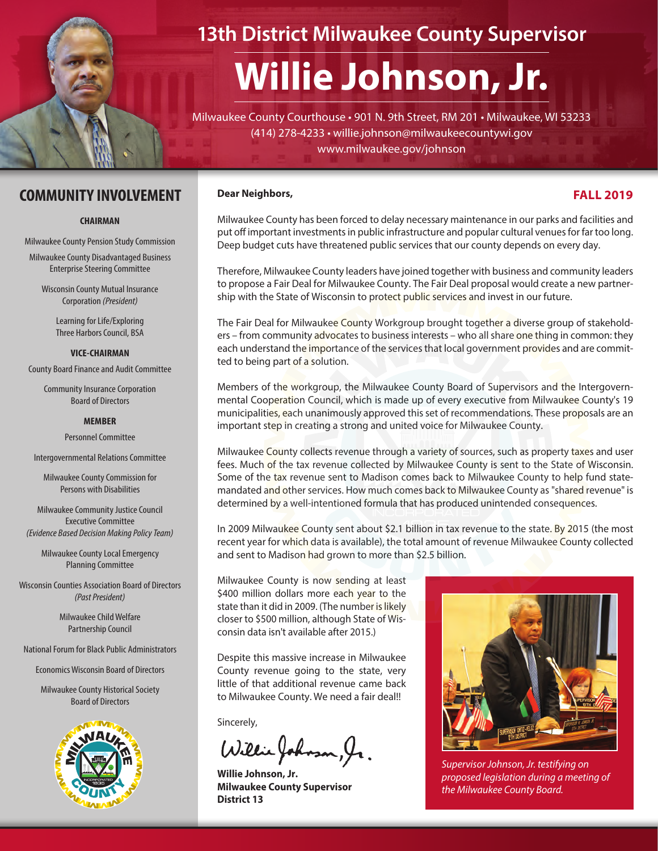

# **13th District Milwaukee County Supervisor**

# **Willie Johnson, Jr.**

Milwaukee County Courthouse • 901 N. 9th Street, RM 201 • Milwaukee, WI 53233 (414) 278-4233 • willie.johnson@milwaukeecountywi.gov www.milwaukee.gov/johnson

#### **COMMUNITY INVOLVEMENT**

#### **CHAIRMAN**

Milwaukee County Pension Study Commission

Milwaukee County Disadvantaged Business Enterprise Steering Committee

Wisconsin County Mutual Insurance Corporation *(President)* 

> Learning for Life/Exploring Three Harbors Council, BSA

#### **VICE-CHAIRMAN**

County Board Finance and Audit Committee

Community Insurance Corporation Board of Directors

#### **MEMBER**

Personnel Committee

Intergovernmental Relations Committee

Milwaukee County Commission for Persons with Disabilities

Milwaukee Community Justice Council Executive Committee *(Evidence Based Decision Making Policy Team)*

Milwaukee County Local Emergency Planning Committee

Wisconsin Counties Association Board of Directors *(Past President)*

> Milwaukee Child Welfare Partnership Council

National Forum for Black Public Administrators

Economics Wisconsin Board of Directors

Milwaukee County Historical Society Board of Directors



#### **Dear Neighbors,**

#### **FALL 2019**

Milwaukee County has been forced to delay necessary maintenance in our parks and facilities and put off important investments in public infrastructure and popular cultural venues for far too long. Deep budget cuts have threatened public services that our county depends on every day.

Therefore, Milwaukee County leaders have joined together with business and community leaders to propose a Fair Deal for Milwaukee County. The Fair Deal proposal would create a new partnership with the State of Wisconsin to protect public services and invest in our future.

The Fair Deal for Milwaukee County Workgroup brought together a diverse group of stakeholders – from community advocates to business interests – who all share one thing in common: they each understand the importance of the services that local government provides and are committed to being part of a solution.

Members of the workgroup, the Milwaukee County Board of Supervisors and the Intergovernmental Cooperation Council, which is made up of every executive from Milwaukee County's 19 municipalities, each unanimously approved this set of recommendations. These proposals are an important step in creating a strong and united voice for Milwaukee County.

Milwaukee County collects revenue through a variety of sources, such as property taxes and user fees. Much of the tax revenue collected by Milwaukee County is sent to the State of Wisconsin. Some of the tax revenue sent to Madison comes back to Milwaukee County to help fund statemandated and other services. How much comes back to Milwaukee County as "shared revenue" is determined by a well-intentioned formula that has produced unintended consequences.

In 2009 Milwaukee County sent about \$2.1 billion in tax revenue to the state. By 2015 (the most recent year for which data is available), the total amount of revenue Milwaukee County collected and sent to Madison had grown to more than \$2.5 billion.

Milwaukee County is now sending at least \$400 million dollars more each year to the state than it did in 2009. (The number is likely closer to \$500 million, although State of Wisconsin data isn't available after 2015.)

Despite this massive increase in Milwaukee County revenue going to the state, very little of that additional revenue came back to Milwaukee County. We need a fair deal!!

Sincerely,

Willie Johnson, Jr.

**Willie Johnson, Jr. Milwaukee County Supervisor District 13**



*Supervisor Johnson, Jr. testifying on proposed legislation during a meeting of the Milwaukee County Board.*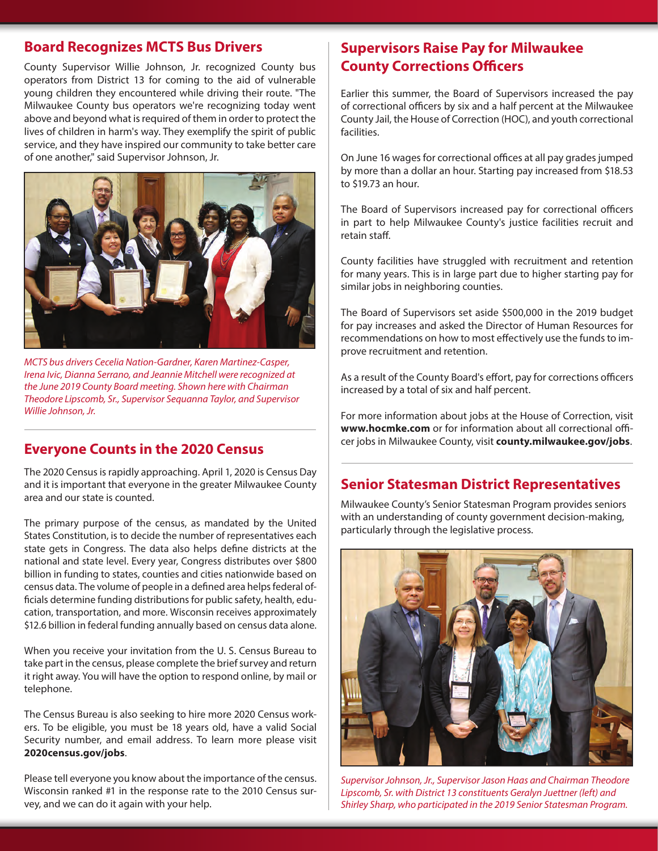#### **Board Recognizes MCTS Bus Drivers**

County Supervisor Willie Johnson, Jr. recognized County bus operators from District 13 for coming to the aid of vulnerable young children they encountered while driving their route. "The Milwaukee County bus operators we're recognizing today went above and beyond what is required of them in order to protect the lives of children in harm's way. They exemplify the spirit of public service, and they have inspired our community to take better care of one another," said Supervisor Johnson, Jr.



*MCTS bus drivers Cecelia Nation-Gardner, Karen Martinez-Casper, Irena Ivic, Dianna Serrano, and Jeannie Mitchell were recognized at the June 2019 County Board meeting. Shown here with Chairman Theodore Lipscomb, Sr., Supervisor Sequanna Taylor, and Supervisor Willie Johnson, Jr.*

The 2020 Census is rapidly approaching. April 1, 2020 is Census Day and it is important that everyone in the greater Milwaukee County area and our state is counted.

The primary purpose of the census, as mandated by the United States Constitution, is to decide the number of representatives each state gets in Congress. The data also helps define districts at the national and state level. Every year, Congress distributes over \$800 billion in funding to states, counties and cities nationwide based on census data. The volume of people in a defined area helps federal officials determine funding distributions for public safety, health, education, transportation, and more. Wisconsin receives approximately \$12.6 billion in federal funding annually based on census data alone.

When you receive your invitation from the U. S. Census Bureau to take part in the census, please complete the brief survey and return it right away. You will have the option to respond online, by mail or telephone.

The Census Bureau is also seeking to hire more 2020 Census workers. To be eligible, you must be 18 years old, have a valid Social Security number, and email address. To learn more please visit **2020census.gov/jobs**.

Please tell everyone you know about the importance of the census. Wisconsin ranked #1 in the response rate to the 2010 Census survey, and we can do it again with your help.

#### **Supervisors Raise Pay for Milwaukee County Corrections Officers**

Earlier this summer, the Board of Supervisors increased the pay of correctional officers by six and a half percent at the Milwaukee County Jail, the House of Correction (HOC), and youth correctional facilities.

On June 16 wages for correctional offices at all pay grades jumped by more than a dollar an hour. Starting pay increased from \$18.53 to \$19.73 an hour.

The Board of Supervisors increased pay for correctional officers in part to help Milwaukee County's justice facilities recruit and retain staff.

County facilities have struggled with recruitment and retention for many years. This is in large part due to higher starting pay for similar jobs in neighboring counties.

The Board of Supervisors set aside \$500,000 in the 2019 budget for pay increases and asked the Director of Human Resources for recommendations on how to most effectively use the funds to improve recruitment and retention.

As a result of the County Board's effort, pay for corrections officers increased by a total of six and half percent.

For more information about jobs at the House of Correction, visit **www.hocmke.com** or for information about all correctional officer jobs in Milwaukee County, visit **county.milwaukee.gov/jobs**. **Everyone Counts in the 2020 Census**

#### **Senior Statesman District Representatives**

Milwaukee County's Senior Statesman Program provides seniors with an understanding of county government decision-making, particularly through the legislative process.



*Supervisor Johnson, Jr., Supervisor Jason Haas and Chairman Theodore Lipscomb, Sr. with District 13 constituents Geralyn Juettner (left) and Shirley Sharp, who participated in the 2019 Senior Statesman Program.*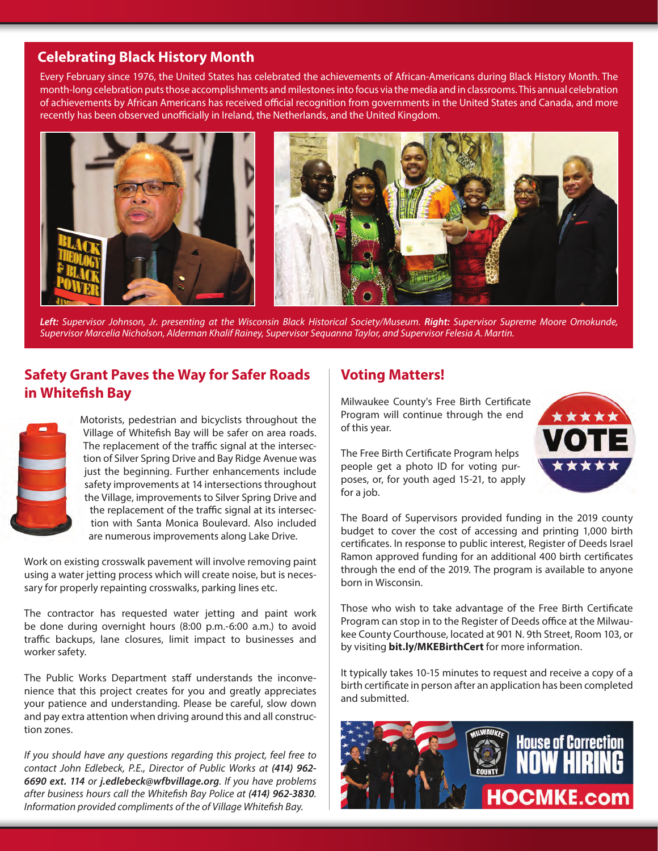## **Celebrating Black History Month**

Every February since 1976, the United States has celebrated the achievements of African-Americans during Black History Month. The month-long celebration puts those accomplishments and milestones into focus via the media and in classrooms. This annual celebration of achievements by African Americans has received official recognition from governments in the United States and Canada, and more recently has been observed unofficially in Ireland, the Netherlands, and the United Kingdom.



*Left: Supervisor Johnson, Jr. presenting at the Wisconsin Black Historical Society/Museum. Right: Supervisor Supreme Moore Omokunde, Supervisor Marcelia Nicholson, Alderman Khalif Rainey, Supervisor Sequanna Taylor, and Supervisor Felesia A. Martin.*

# **Safety Grant Paves the Way for Safer Roads in Whitefish Bay**



Motorists, pedestrian and bicyclists throughout the Village of Whitefish Bay will be safer on area roads. The replacement of the traffic signal at the intersection of Silver Spring Drive and Bay Ridge Avenue was just the beginning. Further enhancements include safety improvements at 14 intersections throughout the Village, improvements to Silver Spring Drive and the replacement of the traffic signal at its intersection with Santa Monica Boulevard. Also included are numerous improvements along Lake Drive.

Work on existing crosswalk pavement will involve removing paint using a water jetting process which will create noise, but is necessary for properly repainting crosswalks, parking lines etc.

The contractor has requested water jetting and paint work be done during overnight hours (8:00 p.m.-6:00 a.m.) to avoid traffic backups, lane closures, limit impact to businesses and worker safety.

The Public Works Department staff understands the inconvenience that this project creates for you and greatly appreciates your patience and understanding. Please be careful, slow down and pay extra attention when driving around this and all construction zones.

*If you should have any questions regarding this project, feel free to contact John Edlebeck, P.E., Director of Public Works at (414) 962- 6690 ext. 114 or j.edlebeck@wfbvillage.org. If you have problems after business hours call the Whitefish Bay Police at (414) 962-3830. Information provided compliments of the of Village Whitefish Bay.*

## **Voting Matters!**

Milwaukee County's Free Birth Certificate Program will continue through the end of this year.

The Free Birth Certificate Program helps people get a photo ID for voting purposes, or, for youth aged 15-21, to apply for a job.

The Board of Supervisors provided funding in the 2019 county budget to cover the cost of accessing and printing 1,000 birth certificates. In response to public interest, Register of Deeds Israel Ramon approved funding for an additional 400 birth certificates through the end of the 2019. The program is available to anyone born in Wisconsin.

Those who wish to take advantage of the Free Birth Certificate Program can stop in to the Register of Deeds office at the Milwaukee County Courthouse, located at 901 N. 9th Street, Room 103, or by visiting **bit.ly/MKEBirthCert** for more information.

It typically takes 10-15 minutes to request and receive a copy of a birth certificate in person after an application has been completed and submitted.